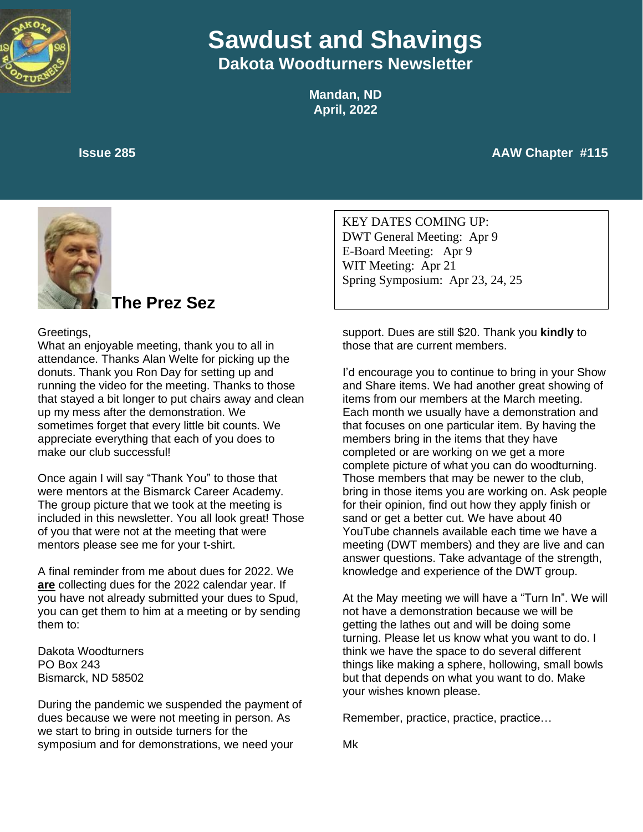

# **Sawdust and Shavings Dakota Woodturners Newsletter**

**Mandan, ND April, 2022**

**Issue 285 AAW Chapter #115** 





**The Prez Sez**

Greetings,

What an enjoyable meeting, thank you to all in attendance. Thanks Alan Welte for picking up the donuts. Thank you Ron Day for setting up and running the video for the meeting. Thanks to those that stayed a bit longer to put chairs away and clean up my mess after the demonstration. We sometimes forget that every little bit counts. We appreciate everything that each of you does to make our club successful!

Once again I will say "Thank You" to those that were mentors at the Bismarck Career Academy. The group picture that we took at the meeting is included in this newsletter. You all look great! Those of you that were not at the meeting that were mentors please see me for your t-shirt.

A final reminder from me about dues for 2022. We **are** collecting dues for the 2022 calendar year. If you have not already submitted your dues to Spud, you can get them to him at a meeting or by sending them to:

Dakota Woodturners PO Box 243 Bismarck, ND 58502

During the pandemic we suspended the payment of dues because we were not meeting in person. As we start to bring in outside turners for the symposium and for demonstrations, we need your

KEY DATES COMING UP: DWT General Meeting: Apr 9 E-Board Meeting: Apr 9 WIT Meeting: Apr 21 Spring Symposium: Apr 23, 24, 25

support. Dues are still \$20. Thank you **kindly** to those that are current members.

I'd encourage you to continue to bring in your Show and Share items. We had another great showing of items from our members at the March meeting. Each month we usually have a demonstration and that focuses on one particular item. By having the members bring in the items that they have completed or are working on we get a more complete picture of what you can do woodturning. Those members that may be newer to the club, bring in those items you are working on. Ask people for their opinion, find out how they apply finish or sand or get a better cut. We have about 40 YouTube channels available each time we have a meeting (DWT members) and they are live and can answer questions. Take advantage of the strength, knowledge and experience of the DWT group.

At the May meeting we will have a "Turn In". We will not have a demonstration because we will be getting the lathes out and will be doing some turning. Please let us know what you want to do. I think we have the space to do several different things like making a sphere, hollowing, small bowls but that depends on what you want to do. Make your wishes known please.

Remember, practice, practice, practice…

Mk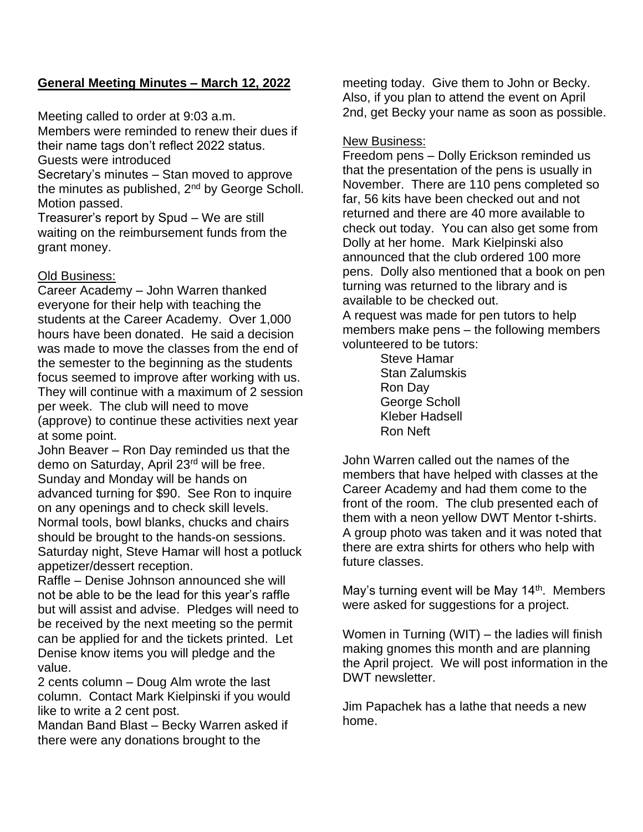## **General Meeting Minutes – March 12, 2022**

Meeting called to order at 9:03 a.m.

Members were reminded to renew their dues if their name tags don't reflect 2022 status.

Guests were introduced

Secretary's minutes – Stan moved to approve the minutes as published, 2<sup>nd</sup> by George Scholl. Motion passed.

Treasurer's report by Spud – We are still waiting on the reimbursement funds from the grant money.

### Old Business:

Career Academy – John Warren thanked everyone for their help with teaching the students at the Career Academy. Over 1,000 hours have been donated. He said a decision was made to move the classes from the end of the semester to the beginning as the students focus seemed to improve after working with us. They will continue with a maximum of 2 session per week. The club will need to move (approve) to continue these activities next year at some point.

John Beaver – Ron Day reminded us that the demo on Saturday, April 23rd will be free. Sunday and Monday will be hands on advanced turning for \$90. See Ron to inquire on any openings and to check skill levels. Normal tools, bowl blanks, chucks and chairs should be brought to the hands-on sessions. Saturday night, Steve Hamar will host a potluck appetizer/dessert reception.

Raffle – Denise Johnson announced she will not be able to be the lead for this year's raffle but will assist and advise. Pledges will need to be received by the next meeting so the permit can be applied for and the tickets printed. Let Denise know items you will pledge and the value.

2 cents column – Doug Alm wrote the last column. Contact Mark Kielpinski if you would like to write a 2 cent post.

Mandan Band Blast – Becky Warren asked if there were any donations brought to the

meeting today. Give them to John or Becky. Also, if you plan to attend the event on April 2nd, get Becky your name as soon as possible.

## New Business:

Freedom pens – Dolly Erickson reminded us that the presentation of the pens is usually in November. There are 110 pens completed so far, 56 kits have been checked out and not returned and there are 40 more available to check out today. You can also get some from Dolly at her home. Mark Kielpinski also announced that the club ordered 100 more pens. Dolly also mentioned that a book on pen turning was returned to the library and is available to be checked out.

A request was made for pen tutors to help members make pens – the following members volunteered to be tutors:

> Steve Hamar Stan Zalumskis Ron Day George Scholl Kleber Hadsell Ron Neft

John Warren called out the names of the members that have helped with classes at the Career Academy and had them come to the front of the room. The club presented each of them with a neon yellow DWT Mentor t-shirts. A group photo was taken and it was noted that there are extra shirts for others who help with future classes.

May's turning event will be May 14<sup>th</sup>. Members were asked for suggestions for a project.

Women in Turning (WIT) – the ladies will finish making gnomes this month and are planning the April project. We will post information in the DWT newsletter.

Jim Papachek has a lathe that needs a new home.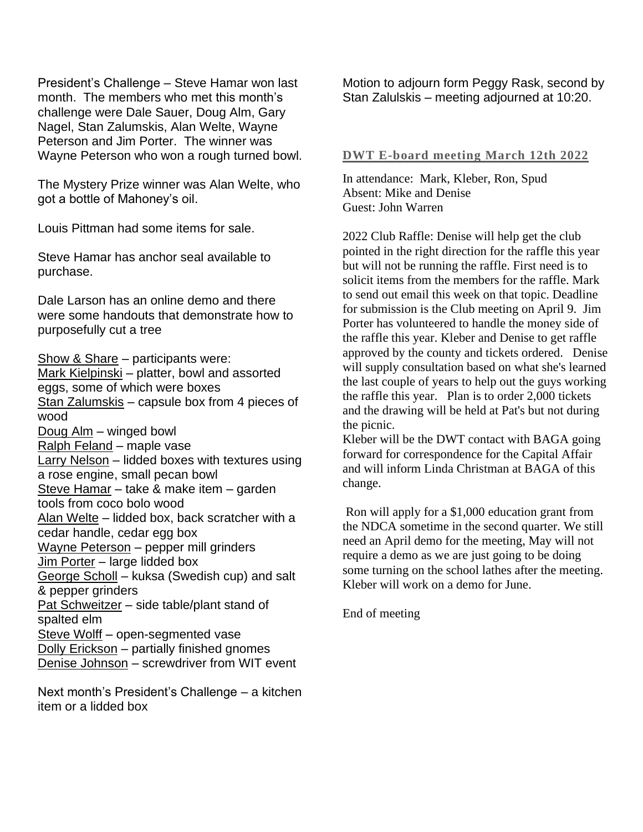President's Challenge – Steve Hamar won last month. The members who met this month's challenge were Dale Sauer, Doug Alm, Gary Nagel, Stan Zalumskis, Alan Welte, Wayne Peterson and Jim Porter. The winner was Wayne Peterson who won a rough turned bowl.

The Mystery Prize winner was Alan Welte, who got a bottle of Mahoney's oil.

Louis Pittman had some items for sale.

Steve Hamar has anchor seal available to purchase.

Dale Larson has an online demo and there were some handouts that demonstrate how to purposefully cut a tree

Show & Share – participants were: Mark Kielpinski – platter, bowl and assorted eggs, some of which were boxes Stan Zalumskis – capsule box from 4 pieces of wood Doug Alm – winged bowl Ralph Feland – maple vase Larry Nelson – lidded boxes with textures using a rose engine, small pecan bowl Steve Hamar – take & make item – garden tools from coco bolo wood Alan Welte – lidded box, back scratcher with a cedar handle, cedar egg box Wayne Peterson – pepper mill grinders Jim Porter – large lidded box George Scholl - kuksa (Swedish cup) and salt & pepper grinders Pat Schweitzer - side table/plant stand of spalted elm Steve Wolff – open-segmented vase Dolly Erickson – partially finished gnomes Denise Johnson – screwdriver from WIT event

Next month's President's Challenge – a kitchen item or a lidded box

Motion to adjourn form Peggy Rask, second by Stan Zalulskis – meeting adjourned at 10:20.

#### **DWT E-board meeting March 12th 2022**

In attendance: Mark, Kleber, Ron, Spud Absent: Mike and Denise Guest: John Warren

2022 Club Raffle: Denise will help get the club pointed in the right direction for the raffle this year but will not be running the raffle. First need is to solicit items from the members for the raffle. Mark to send out email this week on that topic. Deadline for submission is the Club meeting on April 9. Jim Porter has volunteered to handle the money side of the raffle this year. Kleber and Denise to get raffle approved by the county and tickets ordered. Denise will supply consultation based on what she's learned the last couple of years to help out the guys working the raffle this year. Plan is to order 2,000 tickets and the drawing will be held at Pat's but not during the picnic.

Kleber will be the DWT contact with BAGA going forward for correspondence for the Capital Affair and will inform Linda Christman at BAGA of this change.

Ron will apply for a \$1,000 education grant from the NDCA sometime in the second quarter. We still need an April demo for the meeting, May will not require a demo as we are just going to be doing some turning on the school lathes after the meeting. Kleber will work on a demo for June.

End of meeting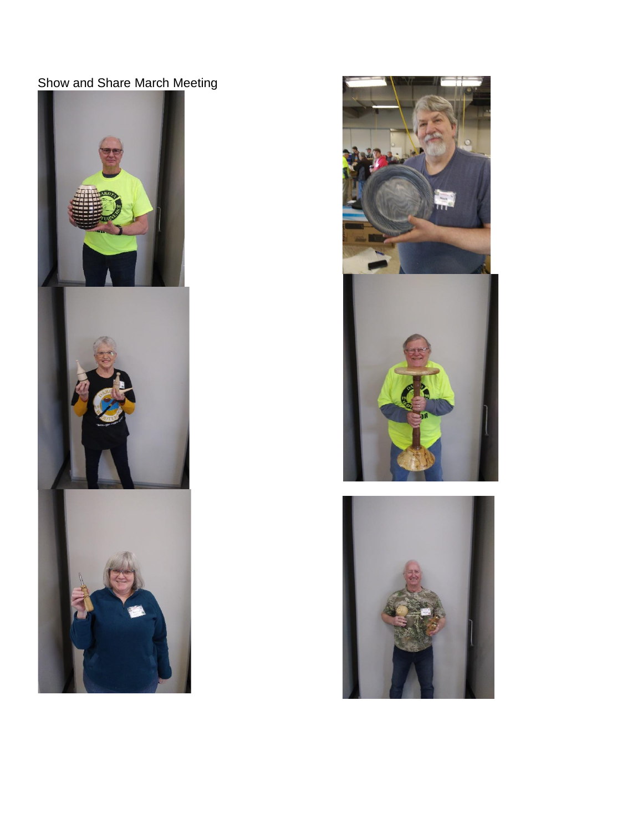# Show and Share March Meeting





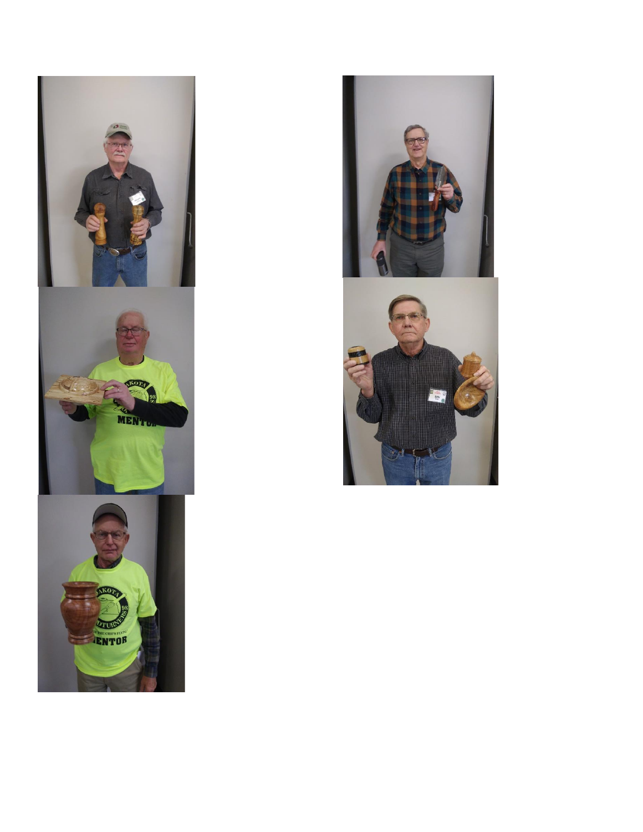

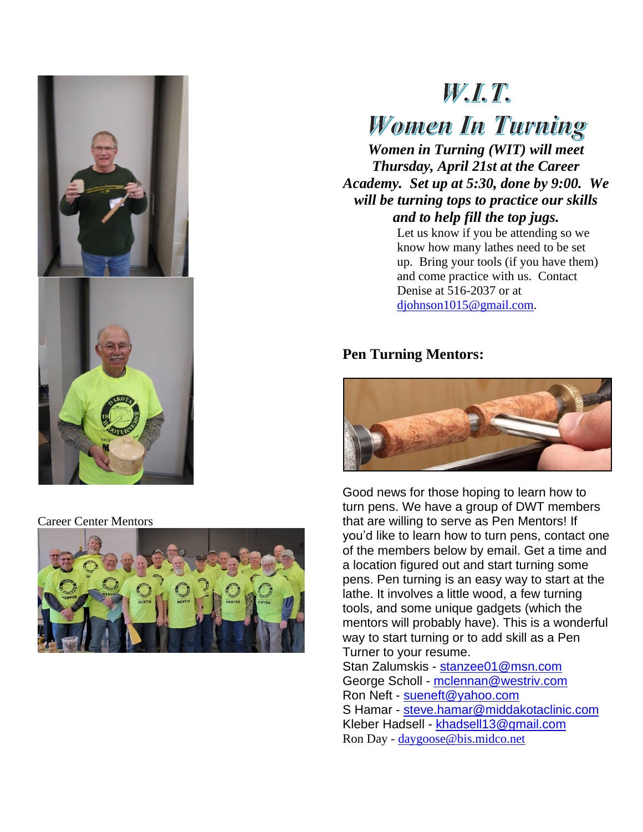

Career Center Mentors



# W.I.T.

# **Women In Turning**

*Women in Turning (WIT) will meet Thursday, April 21st at the Career Academy. Set up at 5:30, done by 9:00. We will be turning tops to practice our skills and to help fill the top jugs.*

Let us know if you be attending so we know how many lathes need to be set up. Bring your tools (if you have them) and come practice with us. Contact Denise at 516-2037 or at [djohnson1015@gmail.com.](mailto:djohnson1015@gmail.com)

# **Pen Turning Mentors:**



Good news for those hoping to learn how to turn pens. We have a group of DWT members that are willing to serve as Pen Mentors! If you'd like to learn how to turn pens, contact one of the members below by email. Get a time and a location figured out and start turning some pens. Pen turning is an easy way to start at the lathe. It involves a little wood, a few turning tools, and some unique gadgets (which the mentors will probably have). This is a wonderful way to start turning or to add skill as a Pen Turner to your resume. Stan Zalumskis - [stanzee01@msn.com](mailto:stanzee01@msn.com) George Scholl - [mclennan@westriv.com](mailto:mclennan@westriv.com) Ron Neft - [sueneft@yahoo.com](mailto:sueneft@yahoo.com) S Hamar - [steve.hamar@middakotaclinic.com](mailto:steve.hamar@middakotaclinic.com)

Kleber Hadsell - [khadsell13@gmail.com](mailto:khadsell13@gmail.com) Ron Day - [daygoose@bis.midco.net](mailto:daygoose@bis.midco.net)